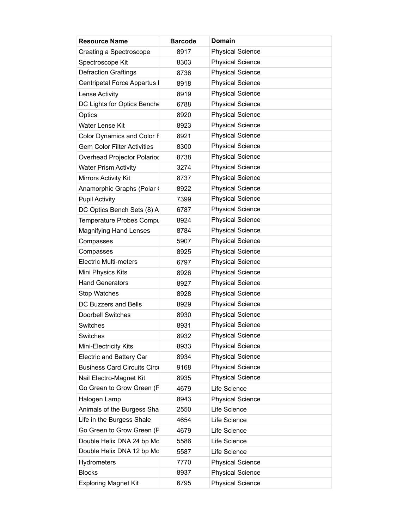| <b>Resource Name</b>                | <b>Barcode</b> | <b>Domain</b>           |
|-------------------------------------|----------------|-------------------------|
| Creating a Spectroscope             | 8917           | <b>Physical Science</b> |
| Spectroscope Kit                    | 8303           | <b>Physical Science</b> |
| <b>Defraction Graftings</b>         | 8736           | <b>Physical Science</b> |
| Centripetal Force Appartus I        | 8918           | <b>Physical Science</b> |
| Lense Activity                      | 8919           | <b>Physical Science</b> |
| DC Lights for Optics Benche         | 6788           | <b>Physical Science</b> |
| Optics                              | 8920           | <b>Physical Science</b> |
| Water Lense Kit                     | 8923           | <b>Physical Science</b> |
| Color Dynamics and Color F          | 8921           | <b>Physical Science</b> |
| <b>Gem Color Filter Activities</b>  | 8300           | <b>Physical Science</b> |
| Overhead Projector Polariod         | 8738           | <b>Physical Science</b> |
| <b>Water Prism Activity</b>         | 3274           | <b>Physical Science</b> |
| Mirrors Activity Kit                | 8737           | <b>Physical Science</b> |
| Anamorphic Graphs (Polar (          | 8922           | <b>Physical Science</b> |
| <b>Pupil Activity</b>               | 7399           | <b>Physical Science</b> |
| DC Optics Bench Sets (8) A          | 6787           | <b>Physical Science</b> |
| Temperature Probes Compu            | 8924           | <b>Physical Science</b> |
| <b>Magnifying Hand Lenses</b>       | 8784           | <b>Physical Science</b> |
| Compasses                           | 5907           | <b>Physical Science</b> |
| Compasses                           | 8925           | <b>Physical Science</b> |
| <b>Electric Multi-meters</b>        | 6797           | <b>Physical Science</b> |
| Mini Physics Kits                   | 8926           | <b>Physical Science</b> |
| <b>Hand Generators</b>              | 8927           | <b>Physical Science</b> |
| Stop Watches                        | 8928           | <b>Physical Science</b> |
| DC Buzzers and Bells                | 8929           | <b>Physical Science</b> |
| <b>Doorbell Switches</b>            | 8930           | <b>Physical Science</b> |
| Switches                            | 8931           | <b>Physical Science</b> |
| Switches                            | 8932           | <b>Physical Science</b> |
| Mini-Electricity Kits               | 8933           | <b>Physical Science</b> |
| <b>Electric and Battery Car</b>     | 8934           | <b>Physical Science</b> |
| <b>Business Card Circuits Circi</b> | 9168           | <b>Physical Science</b> |
| Nail Electro-Magnet Kit             | 8935           | <b>Physical Science</b> |
| Go Green to Grow Green (F           | 4679           | Life Science            |
| Halogen Lamp                        | 8943           | <b>Physical Science</b> |
| Animals of the Burgess Sha          | 2550           | Life Science            |
| Life in the Burgess Shale           | 4654           | Life Science            |
| Go Green to Grow Green (F           | 4679           | Life Science            |
| Double Helix DNA 24 bp Md           | 5586           | Life Science            |
| Double Helix DNA 12 bp Md           | 5587           | Life Science            |
| <b>Hydrometers</b>                  | 7770           | <b>Physical Science</b> |
| <b>Blocks</b>                       | 8937           | <b>Physical Science</b> |
| <b>Exploring Magnet Kit</b>         | 6795           | <b>Physical Science</b> |